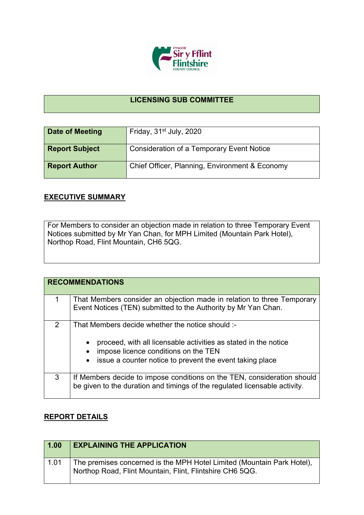

## **LICENSING SUB COMMITTEE**

| Date of Meeting       | Friday, 31 <sup>st</sup> July, 2020            |
|-----------------------|------------------------------------------------|
| <b>Report Subject</b> | Consideration of a Temporary Event Notice      |
| <b>Report Author</b>  | Chief Officer, Planning, Environment & Economy |

## **EXECUTIVE SUMMARY**

For Members to consider an objection made in relation to three Temporary Event Notices submitted by Mr Yan Chan, for MPH Limited (Mountain Park Hotel), Northop Road, Flint Mountain, CH6 5QG.

|   | <b>RECOMMENDATIONS</b>                                                                                                                                                                                                  |
|---|-------------------------------------------------------------------------------------------------------------------------------------------------------------------------------------------------------------------------|
|   | That Members consider an objection made in relation to three Temporary<br>Event Notices (TEN) submitted to the Authority by Mr Yan Chan.                                                                                |
| 2 | That Members decide whether the notice should :-<br>proceed, with all licensable activities as stated in the notice<br>impose licence conditions on the TEN<br>issue a counter notice to prevent the event taking place |
| 3 | If Members decide to impose conditions on the TEN, consideration should<br>be given to the duration and timings of the regulated licensable activity.                                                                   |

## **REPORT DETAILS**

| 1.00 | <b>EXPLAINING THE APPLICATION</b>                                                                                                  |
|------|------------------------------------------------------------------------------------------------------------------------------------|
| 1.01 | The premises concerned is the MPH Hotel Limited (Mountain Park Hotel),<br>Northop Road, Flint Mountain, Flint, Flintshire CH6 5QG. |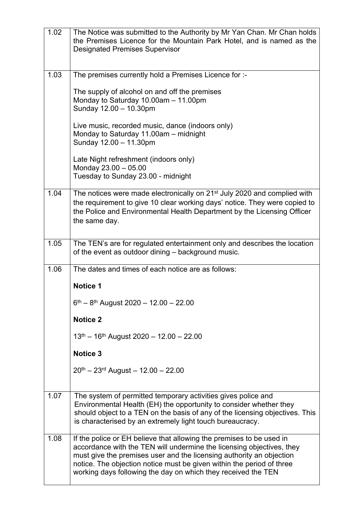| 1.02 | The Notice was submitted to the Authority by Mr Yan Chan. Mr Chan holds<br>the Premises Licence for the Mountain Park Hotel, and is named as the<br><b>Designated Premises Supervisor</b>                                                                                                                                                                       |
|------|-----------------------------------------------------------------------------------------------------------------------------------------------------------------------------------------------------------------------------------------------------------------------------------------------------------------------------------------------------------------|
| 1.03 | The premises currently hold a Premises Licence for :-                                                                                                                                                                                                                                                                                                           |
|      | The supply of alcohol on and off the premises<br>Monday to Saturday 10.00am - 11.00pm<br>Sunday 12.00 - 10.30pm                                                                                                                                                                                                                                                 |
|      | Live music, recorded music, dance (indoors only)<br>Monday to Saturday 11.00am - midnight<br>Sunday 12.00 - 11.30pm                                                                                                                                                                                                                                             |
|      | Late Night refreshment (indoors only)<br>Monday 23.00 - 05.00<br>Tuesday to Sunday 23.00 - midnight                                                                                                                                                                                                                                                             |
|      |                                                                                                                                                                                                                                                                                                                                                                 |
| 1.04 | The notices were made electronically on 21 <sup>st</sup> July 2020 and complied with<br>the requirement to give 10 clear working days' notice. They were copied to<br>the Police and Environmental Health Department by the Licensing Officer<br>the same day.                                                                                                  |
| 1.05 | The TEN's are for regulated entertainment only and describes the location<br>of the event as outdoor dining - background music.                                                                                                                                                                                                                                 |
| 1.06 | The dates and times of each notice are as follows:                                                                                                                                                                                                                                                                                                              |
|      | Notice 1                                                                                                                                                                                                                                                                                                                                                        |
|      | $6th - 8th$ August 2020 - 12.00 - 22.00                                                                                                                                                                                                                                                                                                                         |
|      | <b>Notice 2</b>                                                                                                                                                                                                                                                                                                                                                 |
|      | $13th - 16th$ August 2020 - 12.00 - 22.00                                                                                                                                                                                                                                                                                                                       |
|      | <b>Notice 3</b>                                                                                                                                                                                                                                                                                                                                                 |
|      | $20th - 23rd$ August - 12.00 - 22.00                                                                                                                                                                                                                                                                                                                            |
| 1.07 | The system of permitted temporary activities gives police and<br>Environmental Health (EH) the opportunity to consider whether they<br>should object to a TEN on the basis of any of the licensing objectives. This<br>is characterised by an extremely light touch bureaucracy.                                                                                |
| 1.08 | If the police or EH believe that allowing the premises to be used in<br>accordance with the TEN will undermine the licensing objectives, they<br>must give the premises user and the licensing authority an objection<br>notice. The objection notice must be given within the period of three<br>working days following the day on which they received the TEN |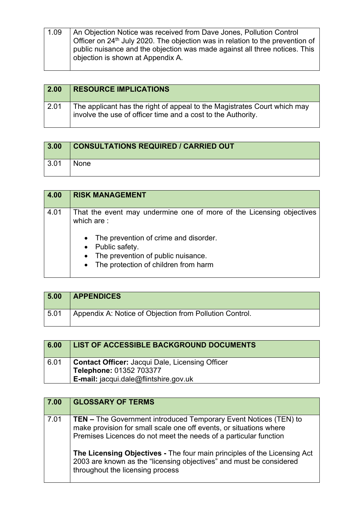| 1.09 | An Objection Notice was received from Dave Jones, Pollution Control<br>Officer on 24 <sup>th</sup> July 2020. The objection was in relation to the prevention of<br>public nuisance and the objection was made against all three notices. This<br>objection is shown at Appendix A. |
|------|-------------------------------------------------------------------------------------------------------------------------------------------------------------------------------------------------------------------------------------------------------------------------------------|
|------|-------------------------------------------------------------------------------------------------------------------------------------------------------------------------------------------------------------------------------------------------------------------------------------|

 $\overline{\phantom{a}}$ 

| 2.00 | <b>RESOURCE IMPLICATIONS</b>                                                                                                             |
|------|------------------------------------------------------------------------------------------------------------------------------------------|
| 2.01 | The applicant has the right of appeal to the Magistrates Court which may<br>involve the use of officer time and a cost to the Authority. |

| 3.00         | <b>CONSULTATIONS REQUIRED / CARRIED OUT</b> |
|--------------|---------------------------------------------|
| $\vert 3.01$ | None                                        |

| 4.00 | <b>RISK MANAGEMENT</b>                                                             |
|------|------------------------------------------------------------------------------------|
| 4.01 | That the event may undermine one of more of the Licensing objectives<br>which are: |
|      | • The prevention of crime and disorder.<br>• Public safety.                        |
|      | • The prevention of public nuisance.<br>• The protection of children from harm     |

| 5.00 | <b>APPENDICES</b>                                       |
|------|---------------------------------------------------------|
| 5.01 | Appendix A: Notice of Objection from Pollution Control. |

| 6.00 | LIST OF ACCESSIBLE BACKGROUND DOCUMENTS                |
|------|--------------------------------------------------------|
| 6.01 | <b>Contact Officer: Jacqui Dale, Licensing Officer</b> |
|      | Telephone: 01352 703377                                |
|      | E-mail: jacqui.dale@flintshire.gov.uk                  |

| 7.00 | <b>GLOSSARY OF TERMS</b>                                                                                                                                                                                                                                                                                                                                                                                 |
|------|----------------------------------------------------------------------------------------------------------------------------------------------------------------------------------------------------------------------------------------------------------------------------------------------------------------------------------------------------------------------------------------------------------|
| 7.01 | <b>TEN – The Government introduced Temporary Event Notices (TEN) to</b><br>make provision for small scale one off events, or situations where<br>Premises Licences do not meet the needs of a particular function<br>The Licensing Objectives - The four main principles of the Licensing Act<br>2003 are known as the "licensing objectives" and must be considered<br>throughout the licensing process |